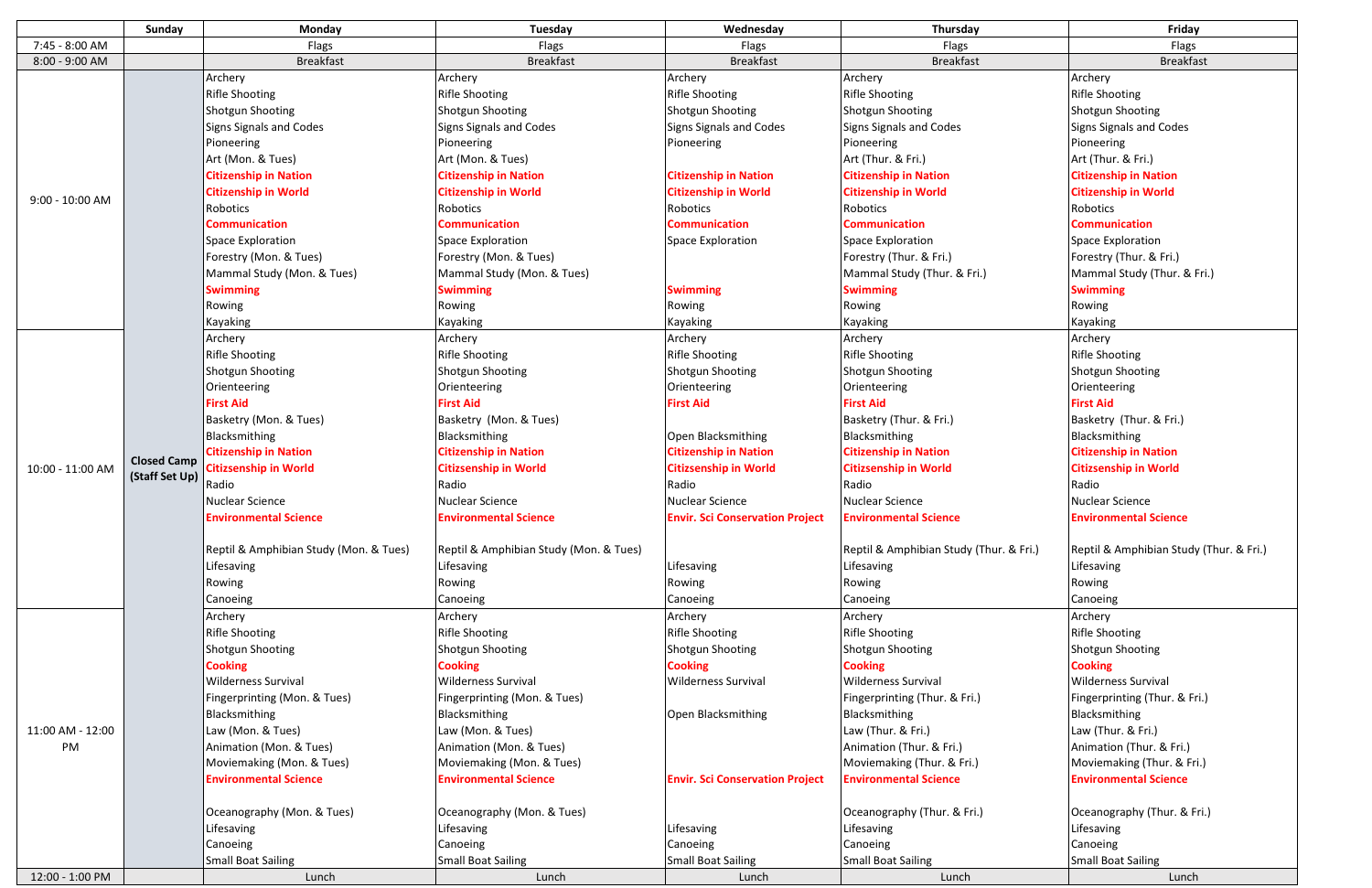| 7:45 - 8:00 AM<br>Flags<br>Flags<br>Flags<br>Flags<br>Flags<br>8:00 - 9:00 AM<br><b>Breakfast</b><br><b>Breakfast</b><br><b>Breakfast</b><br><b>Breakfast</b><br><b>Breakfast</b><br>Archery<br>Archery<br>Archery<br>Archery<br>Archery<br><b>Rifle Shooting</b><br><b>Rifle Shooting</b><br><b>Rifle Shooting</b><br><b>Rifle Shooting</b><br><b>Rifle Shooting</b><br>Shotgun Shooting<br>Shotgun Shooting<br><b>Shotgun Shooting</b><br><b>Shotgun Shooting</b><br><b>Shotgun Shooting</b><br>Signs Signals and Codes<br>Signs Signals and Codes<br><b>Signs Signals and Codes</b><br>Signs Signals and Codes<br>Signs Signals and Codes<br>Pioneering<br>Pioneering<br>Pioneering<br>Pioneering<br>Pioneering<br>Art (Thur. & Fri.)<br>Art (Mon. & Tues)<br>Art (Mon. & Tues)<br>Art (Thur. & Fri.)<br><b>Citizenship in Nation</b><br><b>Citizenship in Nation</b><br><b>Citizenship in Nation</b><br><b>Citizenship in Nation</b><br><b>Citizenship in Nation</b><br><b>Citizenship in World</b><br><b>Citizenship in World</b><br><b>Citizenship in World</b><br><b>Citizenship in World</b><br><b>Citizenship in World</b><br>$9:00 - 10:00$ AM<br>Robotics<br>Robotics<br>Robotics<br>Robotics<br>Robotics<br><b>Communication</b><br><b>Communication</b><br><b>Communication</b><br><b>Communication</b><br><b>Communication</b><br>Space Exploration<br><b>Space Exploration</b><br>Space Exploration<br>Space Exploration<br>Space Exploration<br>Forestry (Mon. & Tues)<br>Forestry (Mon. & Tues)<br>Forestry (Thur. & Fri.)<br>Forestry (Thur. & Fri.)<br>Mammal Study (Mon. & Tues)<br>Mammal Study (Mon. & Tues)<br>Mammal Study (Thur. & Fri.)<br>Mammal Study (Thur. & Fri.)<br><b>Swimming</b><br><b>Swimming</b><br><b>Swimming</b><br><b>Swimming</b><br><b>Swimming</b><br>Rowing<br>Rowing<br>Rowing<br>Rowing<br>Rowing<br>Kayaking<br>Kayaking<br>Kayaking<br>Kayaking<br>Kayaking<br>Archery<br>Archery<br>Archery<br>Archery<br>Archery<br><b>Rifle Shooting</b><br><b>Rifle Shooting</b><br><b>Rifle Shooting</b><br><b>Rifle Shooting</b><br><b>Rifle Shooting</b><br><b>Shotgun Shooting</b><br><b>Shotgun Shooting</b><br>Shotgun Shooting<br><b>Shotgun Shooting</b><br><b>Shotgun Shooting</b><br>Orienteering<br>Orienteering<br>Orienteering<br>Orienteering<br>Orienteering<br><b>First Aid</b><br><b>First Aid</b><br><b>First Aid</b><br><b>First Aid</b><br><b>First Aid</b><br>Basketry (Mon. & Tues)<br>Basketry (Mon. & Tues)<br>Basketry (Thur. & Fri.)<br>Basketry (Thur. & Fri.)<br>Blacksmithing<br>Blacksmithing<br>Open Blacksmithing<br>Blacksmithing<br>Blacksmithing<br><b>Citizenship in Nation</b><br><b>Citizenship in Nation</b><br><b>Citizenship in Nation</b><br><b>Citizenship in Nation</b><br><b>Citizenship in Nation</b><br><b>Closed Camp</b><br><b>Citizsenship in World</b><br><b>Citizsenship in World</b><br><b>Citizsenship in World</b><br><b>Citizsenship in World</b><br><b>Citizsenship in World</b><br>10:00 - 11:00 AM<br>(Staff Set Up)<br>Radio<br>Radio<br>Radio<br>Radio<br>Radio<br><b>Nuclear Science</b><br><b>Nuclear Science</b><br>Nuclear Science<br><b>Nuclear Science</b><br><b>Nuclear Science</b><br><b>Environmental Science</b><br><b>Envir. Sci Conservation Project</b><br><b>Environmental Science</b><br><b>Environmental Science</b><br><b>Environmental Science</b><br>Reptil & Amphibian Study (Mon. & Tues)<br>Reptil & Amphibian Study (Mon. & Tues)<br>Reptil & Amphibian Study (Thur. & Fri.)<br>Reptil & Amphibian Study (Thur. & Fri.)<br>Lifesaving<br>Lifesaving<br>Lifesaving<br>Lifesaving<br>Lifesaving<br>Rowing<br>Rowing<br>Rowing<br>Rowing<br>Rowing<br>Canoeing<br>Canoeing<br>Canoeing<br><b>Canoeing</b><br>Canoeing<br>Archery<br>Archery<br>Archery<br>Archery<br>Archery<br><b>Rifle Shooting</b><br><b>Rifle Shooting</b><br><b>Rifle Shooting</b><br><b>Rifle Shooting</b><br><b>Rifle Shooting</b><br><b>Shotgun Shooting</b><br><b>Shotgun Shooting</b><br>Shotgun Shooting<br><b>Shotgun Shooting</b><br><b>Shotgun Shooting</b><br><b>Cooking</b><br><b>Cooking</b><br><b>Cooking</b><br><b>Cooking</b><br><b>Cooking</b><br>Wilderness Survival<br><b>Wilderness Survival</b><br><b>Wilderness Survival</b><br><b>Wilderness Survival</b><br><b>Wilderness Survival</b><br>Fingerprinting (Thur. & Fri.)<br>Fingerprinting (Thur. & Fri.)<br>Fingerprinting (Mon. & Tues)<br>Fingerprinting (Mon. & Tues)<br>Blacksmithing<br>Open Blacksmithing<br>Blacksmithing<br>Blacksmithing<br>Blacksmithing<br>11:00 AM - 12:00<br>Law (Mon. & Tues)<br>Law (Thur. & Fri.)<br>Law (Thur. & Fri.)<br>Law (Mon. & Tues)<br>Animation (Thur. & Fri.)<br>PM<br>Animation (Mon. & Tues)<br>Animation (Mon. & Tues)<br>Animation (Thur. & Fri.)<br>Moviemaking (Mon. & Tues)<br>Moviemaking (Mon. & Tues)<br>Moviemaking (Thur. & Fri.)<br>Moviemaking (Thur. & Fri.)<br><b>Environmental Science</b><br><b>Environmental Science</b><br><b>Environmental Science</b><br><b>Environmental Science</b><br><b>Envir. Sci Conservation Project</b><br>Oceanography (Thur. & Fri.)<br>Oceanography (Thur. & Fri.)<br>Oceanography (Mon. & Tues)<br>Oceanography (Mon. & Tues)<br>Lifesaving<br>Lifesaving<br>Lifesaving<br>Lifesaving<br>Lifesaving<br>Canoeing<br>Canoeing<br>Canoeing<br>Canoeing<br>Canoeing<br><b>Small Boat Sailing</b><br>Small Boat Sailing<br><b>Small Boat Sailing</b><br><b>Small Boat Sailing</b><br><b>Small Boat Sailing</b><br>12:00 - 1:00 PM<br>Lunch<br>Lunch<br>Lunch<br>Lunch<br>Lunch |  | Sunday | Monday | Tuesday | Wednesday | Thursday | Friday |
|-------------------------------------------------------------------------------------------------------------------------------------------------------------------------------------------------------------------------------------------------------------------------------------------------------------------------------------------------------------------------------------------------------------------------------------------------------------------------------------------------------------------------------------------------------------------------------------------------------------------------------------------------------------------------------------------------------------------------------------------------------------------------------------------------------------------------------------------------------------------------------------------------------------------------------------------------------------------------------------------------------------------------------------------------------------------------------------------------------------------------------------------------------------------------------------------------------------------------------------------------------------------------------------------------------------------------------------------------------------------------------------------------------------------------------------------------------------------------------------------------------------------------------------------------------------------------------------------------------------------------------------------------------------------------------------------------------------------------------------------------------------------------------------------------------------------------------------------------------------------------------------------------------------------------------------------------------------------------------------------------------------------------------------------------------------------------------------------------------------------------------------------------------------------------------------------------------------------------------------------------------------------------------------------------------------------------------------------------------------------------------------------------------------------------------------------------------------------------------------------------------------------------------------------------------------------------------------------------------------------------------------------------------------------------------------------------------------------------------------------------------------------------------------------------------------------------------------------------------------------------------------------------------------------------------------------------------------------------------------------------------------------------------------------------------------------------------------------------------------------------------------------------------------------------------------------------------------------------------------------------------------------------------------------------------------------------------------------------------------------------------------------------------------------------------------------------------------------------------------------------------------------------------------------------------------------------------------------------------------------------------------------------------------------------------------------------------------------------------------------------------------------------------------------------------------------------------------------------------------------------------------------------------------------------------------------------------------------------------------------------------------------------------------------------------------------------------------------------------------------------------------------------------------------------------------------------------------------------------------------------------------------------------------------------------------------------------------------------------------------------------------------------------------------------------------------------------------------------------------------------------------------------------------------------------------------------------------------------------------------------------------------------------------------------------------------------------------------------------------------------------------------------------------------------------------------------------------------------------------------------------------------------------------------------------------------------------------------------------------------------------------------------------------------------------------------------------------------------------------------------------------------------------------------------------------------------------------------------------------------------------------------------------------------------------------------------------------------------------------------------------------------------------------------------------------------------------------------------------------------------------------------------------------------|--|--------|--------|---------|-----------|----------|--------|
|                                                                                                                                                                                                                                                                                                                                                                                                                                                                                                                                                                                                                                                                                                                                                                                                                                                                                                                                                                                                                                                                                                                                                                                                                                                                                                                                                                                                                                                                                                                                                                                                                                                                                                                                                                                                                                                                                                                                                                                                                                                                                                                                                                                                                                                                                                                                                                                                                                                                                                                                                                                                                                                                                                                                                                                                                                                                                                                                                                                                                                                                                                                                                                                                                                                                                                                                                                                                                                                                                                                                                                                                                                                                                                                                                                                                                                                                                                                                                                                                                                                                                                                                                                                                                                                                                                                                                                                                                                                                                                                                                                                                                                                                                                                                                                                                                                                                                                                                                                                                                                                                                                                                                                                                                                                                                                                                                                                                                                                                                                                                           |  |        |        |         |           |          |        |
|                                                                                                                                                                                                                                                                                                                                                                                                                                                                                                                                                                                                                                                                                                                                                                                                                                                                                                                                                                                                                                                                                                                                                                                                                                                                                                                                                                                                                                                                                                                                                                                                                                                                                                                                                                                                                                                                                                                                                                                                                                                                                                                                                                                                                                                                                                                                                                                                                                                                                                                                                                                                                                                                                                                                                                                                                                                                                                                                                                                                                                                                                                                                                                                                                                                                                                                                                                                                                                                                                                                                                                                                                                                                                                                                                                                                                                                                                                                                                                                                                                                                                                                                                                                                                                                                                                                                                                                                                                                                                                                                                                                                                                                                                                                                                                                                                                                                                                                                                                                                                                                                                                                                                                                                                                                                                                                                                                                                                                                                                                                                           |  |        |        |         |           |          |        |
|                                                                                                                                                                                                                                                                                                                                                                                                                                                                                                                                                                                                                                                                                                                                                                                                                                                                                                                                                                                                                                                                                                                                                                                                                                                                                                                                                                                                                                                                                                                                                                                                                                                                                                                                                                                                                                                                                                                                                                                                                                                                                                                                                                                                                                                                                                                                                                                                                                                                                                                                                                                                                                                                                                                                                                                                                                                                                                                                                                                                                                                                                                                                                                                                                                                                                                                                                                                                                                                                                                                                                                                                                                                                                                                                                                                                                                                                                                                                                                                                                                                                                                                                                                                                                                                                                                                                                                                                                                                                                                                                                                                                                                                                                                                                                                                                                                                                                                                                                                                                                                                                                                                                                                                                                                                                                                                                                                                                                                                                                                                                           |  |        |        |         |           |          |        |
|                                                                                                                                                                                                                                                                                                                                                                                                                                                                                                                                                                                                                                                                                                                                                                                                                                                                                                                                                                                                                                                                                                                                                                                                                                                                                                                                                                                                                                                                                                                                                                                                                                                                                                                                                                                                                                                                                                                                                                                                                                                                                                                                                                                                                                                                                                                                                                                                                                                                                                                                                                                                                                                                                                                                                                                                                                                                                                                                                                                                                                                                                                                                                                                                                                                                                                                                                                                                                                                                                                                                                                                                                                                                                                                                                                                                                                                                                                                                                                                                                                                                                                                                                                                                                                                                                                                                                                                                                                                                                                                                                                                                                                                                                                                                                                                                                                                                                                                                                                                                                                                                                                                                                                                                                                                                                                                                                                                                                                                                                                                                           |  |        |        |         |           |          |        |
|                                                                                                                                                                                                                                                                                                                                                                                                                                                                                                                                                                                                                                                                                                                                                                                                                                                                                                                                                                                                                                                                                                                                                                                                                                                                                                                                                                                                                                                                                                                                                                                                                                                                                                                                                                                                                                                                                                                                                                                                                                                                                                                                                                                                                                                                                                                                                                                                                                                                                                                                                                                                                                                                                                                                                                                                                                                                                                                                                                                                                                                                                                                                                                                                                                                                                                                                                                                                                                                                                                                                                                                                                                                                                                                                                                                                                                                                                                                                                                                                                                                                                                                                                                                                                                                                                                                                                                                                                                                                                                                                                                                                                                                                                                                                                                                                                                                                                                                                                                                                                                                                                                                                                                                                                                                                                                                                                                                                                                                                                                                                           |  |        |        |         |           |          |        |
|                                                                                                                                                                                                                                                                                                                                                                                                                                                                                                                                                                                                                                                                                                                                                                                                                                                                                                                                                                                                                                                                                                                                                                                                                                                                                                                                                                                                                                                                                                                                                                                                                                                                                                                                                                                                                                                                                                                                                                                                                                                                                                                                                                                                                                                                                                                                                                                                                                                                                                                                                                                                                                                                                                                                                                                                                                                                                                                                                                                                                                                                                                                                                                                                                                                                                                                                                                                                                                                                                                                                                                                                                                                                                                                                                                                                                                                                                                                                                                                                                                                                                                                                                                                                                                                                                                                                                                                                                                                                                                                                                                                                                                                                                                                                                                                                                                                                                                                                                                                                                                                                                                                                                                                                                                                                                                                                                                                                                                                                                                                                           |  |        |        |         |           |          |        |
|                                                                                                                                                                                                                                                                                                                                                                                                                                                                                                                                                                                                                                                                                                                                                                                                                                                                                                                                                                                                                                                                                                                                                                                                                                                                                                                                                                                                                                                                                                                                                                                                                                                                                                                                                                                                                                                                                                                                                                                                                                                                                                                                                                                                                                                                                                                                                                                                                                                                                                                                                                                                                                                                                                                                                                                                                                                                                                                                                                                                                                                                                                                                                                                                                                                                                                                                                                                                                                                                                                                                                                                                                                                                                                                                                                                                                                                                                                                                                                                                                                                                                                                                                                                                                                                                                                                                                                                                                                                                                                                                                                                                                                                                                                                                                                                                                                                                                                                                                                                                                                                                                                                                                                                                                                                                                                                                                                                                                                                                                                                                           |  |        |        |         |           |          |        |
|                                                                                                                                                                                                                                                                                                                                                                                                                                                                                                                                                                                                                                                                                                                                                                                                                                                                                                                                                                                                                                                                                                                                                                                                                                                                                                                                                                                                                                                                                                                                                                                                                                                                                                                                                                                                                                                                                                                                                                                                                                                                                                                                                                                                                                                                                                                                                                                                                                                                                                                                                                                                                                                                                                                                                                                                                                                                                                                                                                                                                                                                                                                                                                                                                                                                                                                                                                                                                                                                                                                                                                                                                                                                                                                                                                                                                                                                                                                                                                                                                                                                                                                                                                                                                                                                                                                                                                                                                                                                                                                                                                                                                                                                                                                                                                                                                                                                                                                                                                                                                                                                                                                                                                                                                                                                                                                                                                                                                                                                                                                                           |  |        |        |         |           |          |        |
|                                                                                                                                                                                                                                                                                                                                                                                                                                                                                                                                                                                                                                                                                                                                                                                                                                                                                                                                                                                                                                                                                                                                                                                                                                                                                                                                                                                                                                                                                                                                                                                                                                                                                                                                                                                                                                                                                                                                                                                                                                                                                                                                                                                                                                                                                                                                                                                                                                                                                                                                                                                                                                                                                                                                                                                                                                                                                                                                                                                                                                                                                                                                                                                                                                                                                                                                                                                                                                                                                                                                                                                                                                                                                                                                                                                                                                                                                                                                                                                                                                                                                                                                                                                                                                                                                                                                                                                                                                                                                                                                                                                                                                                                                                                                                                                                                                                                                                                                                                                                                                                                                                                                                                                                                                                                                                                                                                                                                                                                                                                                           |  |        |        |         |           |          |        |
|                                                                                                                                                                                                                                                                                                                                                                                                                                                                                                                                                                                                                                                                                                                                                                                                                                                                                                                                                                                                                                                                                                                                                                                                                                                                                                                                                                                                                                                                                                                                                                                                                                                                                                                                                                                                                                                                                                                                                                                                                                                                                                                                                                                                                                                                                                                                                                                                                                                                                                                                                                                                                                                                                                                                                                                                                                                                                                                                                                                                                                                                                                                                                                                                                                                                                                                                                                                                                                                                                                                                                                                                                                                                                                                                                                                                                                                                                                                                                                                                                                                                                                                                                                                                                                                                                                                                                                                                                                                                                                                                                                                                                                                                                                                                                                                                                                                                                                                                                                                                                                                                                                                                                                                                                                                                                                                                                                                                                                                                                                                                           |  |        |        |         |           |          |        |
|                                                                                                                                                                                                                                                                                                                                                                                                                                                                                                                                                                                                                                                                                                                                                                                                                                                                                                                                                                                                                                                                                                                                                                                                                                                                                                                                                                                                                                                                                                                                                                                                                                                                                                                                                                                                                                                                                                                                                                                                                                                                                                                                                                                                                                                                                                                                                                                                                                                                                                                                                                                                                                                                                                                                                                                                                                                                                                                                                                                                                                                                                                                                                                                                                                                                                                                                                                                                                                                                                                                                                                                                                                                                                                                                                                                                                                                                                                                                                                                                                                                                                                                                                                                                                                                                                                                                                                                                                                                                                                                                                                                                                                                                                                                                                                                                                                                                                                                                                                                                                                                                                                                                                                                                                                                                                                                                                                                                                                                                                                                                           |  |        |        |         |           |          |        |
|                                                                                                                                                                                                                                                                                                                                                                                                                                                                                                                                                                                                                                                                                                                                                                                                                                                                                                                                                                                                                                                                                                                                                                                                                                                                                                                                                                                                                                                                                                                                                                                                                                                                                                                                                                                                                                                                                                                                                                                                                                                                                                                                                                                                                                                                                                                                                                                                                                                                                                                                                                                                                                                                                                                                                                                                                                                                                                                                                                                                                                                                                                                                                                                                                                                                                                                                                                                                                                                                                                                                                                                                                                                                                                                                                                                                                                                                                                                                                                                                                                                                                                                                                                                                                                                                                                                                                                                                                                                                                                                                                                                                                                                                                                                                                                                                                                                                                                                                                                                                                                                                                                                                                                                                                                                                                                                                                                                                                                                                                                                                           |  |        |        |         |           |          |        |
|                                                                                                                                                                                                                                                                                                                                                                                                                                                                                                                                                                                                                                                                                                                                                                                                                                                                                                                                                                                                                                                                                                                                                                                                                                                                                                                                                                                                                                                                                                                                                                                                                                                                                                                                                                                                                                                                                                                                                                                                                                                                                                                                                                                                                                                                                                                                                                                                                                                                                                                                                                                                                                                                                                                                                                                                                                                                                                                                                                                                                                                                                                                                                                                                                                                                                                                                                                                                                                                                                                                                                                                                                                                                                                                                                                                                                                                                                                                                                                                                                                                                                                                                                                                                                                                                                                                                                                                                                                                                                                                                                                                                                                                                                                                                                                                                                                                                                                                                                                                                                                                                                                                                                                                                                                                                                                                                                                                                                                                                                                                                           |  |        |        |         |           |          |        |
|                                                                                                                                                                                                                                                                                                                                                                                                                                                                                                                                                                                                                                                                                                                                                                                                                                                                                                                                                                                                                                                                                                                                                                                                                                                                                                                                                                                                                                                                                                                                                                                                                                                                                                                                                                                                                                                                                                                                                                                                                                                                                                                                                                                                                                                                                                                                                                                                                                                                                                                                                                                                                                                                                                                                                                                                                                                                                                                                                                                                                                                                                                                                                                                                                                                                                                                                                                                                                                                                                                                                                                                                                                                                                                                                                                                                                                                                                                                                                                                                                                                                                                                                                                                                                                                                                                                                                                                                                                                                                                                                                                                                                                                                                                                                                                                                                                                                                                                                                                                                                                                                                                                                                                                                                                                                                                                                                                                                                                                                                                                                           |  |        |        |         |           |          |        |
|                                                                                                                                                                                                                                                                                                                                                                                                                                                                                                                                                                                                                                                                                                                                                                                                                                                                                                                                                                                                                                                                                                                                                                                                                                                                                                                                                                                                                                                                                                                                                                                                                                                                                                                                                                                                                                                                                                                                                                                                                                                                                                                                                                                                                                                                                                                                                                                                                                                                                                                                                                                                                                                                                                                                                                                                                                                                                                                                                                                                                                                                                                                                                                                                                                                                                                                                                                                                                                                                                                                                                                                                                                                                                                                                                                                                                                                                                                                                                                                                                                                                                                                                                                                                                                                                                                                                                                                                                                                                                                                                                                                                                                                                                                                                                                                                                                                                                                                                                                                                                                                                                                                                                                                                                                                                                                                                                                                                                                                                                                                                           |  |        |        |         |           |          |        |
|                                                                                                                                                                                                                                                                                                                                                                                                                                                                                                                                                                                                                                                                                                                                                                                                                                                                                                                                                                                                                                                                                                                                                                                                                                                                                                                                                                                                                                                                                                                                                                                                                                                                                                                                                                                                                                                                                                                                                                                                                                                                                                                                                                                                                                                                                                                                                                                                                                                                                                                                                                                                                                                                                                                                                                                                                                                                                                                                                                                                                                                                                                                                                                                                                                                                                                                                                                                                                                                                                                                                                                                                                                                                                                                                                                                                                                                                                                                                                                                                                                                                                                                                                                                                                                                                                                                                                                                                                                                                                                                                                                                                                                                                                                                                                                                                                                                                                                                                                                                                                                                                                                                                                                                                                                                                                                                                                                                                                                                                                                                                           |  |        |        |         |           |          |        |
|                                                                                                                                                                                                                                                                                                                                                                                                                                                                                                                                                                                                                                                                                                                                                                                                                                                                                                                                                                                                                                                                                                                                                                                                                                                                                                                                                                                                                                                                                                                                                                                                                                                                                                                                                                                                                                                                                                                                                                                                                                                                                                                                                                                                                                                                                                                                                                                                                                                                                                                                                                                                                                                                                                                                                                                                                                                                                                                                                                                                                                                                                                                                                                                                                                                                                                                                                                                                                                                                                                                                                                                                                                                                                                                                                                                                                                                                                                                                                                                                                                                                                                                                                                                                                                                                                                                                                                                                                                                                                                                                                                                                                                                                                                                                                                                                                                                                                                                                                                                                                                                                                                                                                                                                                                                                                                                                                                                                                                                                                                                                           |  |        |        |         |           |          |        |
|                                                                                                                                                                                                                                                                                                                                                                                                                                                                                                                                                                                                                                                                                                                                                                                                                                                                                                                                                                                                                                                                                                                                                                                                                                                                                                                                                                                                                                                                                                                                                                                                                                                                                                                                                                                                                                                                                                                                                                                                                                                                                                                                                                                                                                                                                                                                                                                                                                                                                                                                                                                                                                                                                                                                                                                                                                                                                                                                                                                                                                                                                                                                                                                                                                                                                                                                                                                                                                                                                                                                                                                                                                                                                                                                                                                                                                                                                                                                                                                                                                                                                                                                                                                                                                                                                                                                                                                                                                                                                                                                                                                                                                                                                                                                                                                                                                                                                                                                                                                                                                                                                                                                                                                                                                                                                                                                                                                                                                                                                                                                           |  |        |        |         |           |          |        |
|                                                                                                                                                                                                                                                                                                                                                                                                                                                                                                                                                                                                                                                                                                                                                                                                                                                                                                                                                                                                                                                                                                                                                                                                                                                                                                                                                                                                                                                                                                                                                                                                                                                                                                                                                                                                                                                                                                                                                                                                                                                                                                                                                                                                                                                                                                                                                                                                                                                                                                                                                                                                                                                                                                                                                                                                                                                                                                                                                                                                                                                                                                                                                                                                                                                                                                                                                                                                                                                                                                                                                                                                                                                                                                                                                                                                                                                                                                                                                                                                                                                                                                                                                                                                                                                                                                                                                                                                                                                                                                                                                                                                                                                                                                                                                                                                                                                                                                                                                                                                                                                                                                                                                                                                                                                                                                                                                                                                                                                                                                                                           |  |        |        |         |           |          |        |
|                                                                                                                                                                                                                                                                                                                                                                                                                                                                                                                                                                                                                                                                                                                                                                                                                                                                                                                                                                                                                                                                                                                                                                                                                                                                                                                                                                                                                                                                                                                                                                                                                                                                                                                                                                                                                                                                                                                                                                                                                                                                                                                                                                                                                                                                                                                                                                                                                                                                                                                                                                                                                                                                                                                                                                                                                                                                                                                                                                                                                                                                                                                                                                                                                                                                                                                                                                                                                                                                                                                                                                                                                                                                                                                                                                                                                                                                                                                                                                                                                                                                                                                                                                                                                                                                                                                                                                                                                                                                                                                                                                                                                                                                                                                                                                                                                                                                                                                                                                                                                                                                                                                                                                                                                                                                                                                                                                                                                                                                                                                                           |  |        |        |         |           |          |        |
|                                                                                                                                                                                                                                                                                                                                                                                                                                                                                                                                                                                                                                                                                                                                                                                                                                                                                                                                                                                                                                                                                                                                                                                                                                                                                                                                                                                                                                                                                                                                                                                                                                                                                                                                                                                                                                                                                                                                                                                                                                                                                                                                                                                                                                                                                                                                                                                                                                                                                                                                                                                                                                                                                                                                                                                                                                                                                                                                                                                                                                                                                                                                                                                                                                                                                                                                                                                                                                                                                                                                                                                                                                                                                                                                                                                                                                                                                                                                                                                                                                                                                                                                                                                                                                                                                                                                                                                                                                                                                                                                                                                                                                                                                                                                                                                                                                                                                                                                                                                                                                                                                                                                                                                                                                                                                                                                                                                                                                                                                                                                           |  |        |        |         |           |          |        |
|                                                                                                                                                                                                                                                                                                                                                                                                                                                                                                                                                                                                                                                                                                                                                                                                                                                                                                                                                                                                                                                                                                                                                                                                                                                                                                                                                                                                                                                                                                                                                                                                                                                                                                                                                                                                                                                                                                                                                                                                                                                                                                                                                                                                                                                                                                                                                                                                                                                                                                                                                                                                                                                                                                                                                                                                                                                                                                                                                                                                                                                                                                                                                                                                                                                                                                                                                                                                                                                                                                                                                                                                                                                                                                                                                                                                                                                                                                                                                                                                                                                                                                                                                                                                                                                                                                                                                                                                                                                                                                                                                                                                                                                                                                                                                                                                                                                                                                                                                                                                                                                                                                                                                                                                                                                                                                                                                                                                                                                                                                                                           |  |        |        |         |           |          |        |
|                                                                                                                                                                                                                                                                                                                                                                                                                                                                                                                                                                                                                                                                                                                                                                                                                                                                                                                                                                                                                                                                                                                                                                                                                                                                                                                                                                                                                                                                                                                                                                                                                                                                                                                                                                                                                                                                                                                                                                                                                                                                                                                                                                                                                                                                                                                                                                                                                                                                                                                                                                                                                                                                                                                                                                                                                                                                                                                                                                                                                                                                                                                                                                                                                                                                                                                                                                                                                                                                                                                                                                                                                                                                                                                                                                                                                                                                                                                                                                                                                                                                                                                                                                                                                                                                                                                                                                                                                                                                                                                                                                                                                                                                                                                                                                                                                                                                                                                                                                                                                                                                                                                                                                                                                                                                                                                                                                                                                                                                                                                                           |  |        |        |         |           |          |        |
|                                                                                                                                                                                                                                                                                                                                                                                                                                                                                                                                                                                                                                                                                                                                                                                                                                                                                                                                                                                                                                                                                                                                                                                                                                                                                                                                                                                                                                                                                                                                                                                                                                                                                                                                                                                                                                                                                                                                                                                                                                                                                                                                                                                                                                                                                                                                                                                                                                                                                                                                                                                                                                                                                                                                                                                                                                                                                                                                                                                                                                                                                                                                                                                                                                                                                                                                                                                                                                                                                                                                                                                                                                                                                                                                                                                                                                                                                                                                                                                                                                                                                                                                                                                                                                                                                                                                                                                                                                                                                                                                                                                                                                                                                                                                                                                                                                                                                                                                                                                                                                                                                                                                                                                                                                                                                                                                                                                                                                                                                                                                           |  |        |        |         |           |          |        |
|                                                                                                                                                                                                                                                                                                                                                                                                                                                                                                                                                                                                                                                                                                                                                                                                                                                                                                                                                                                                                                                                                                                                                                                                                                                                                                                                                                                                                                                                                                                                                                                                                                                                                                                                                                                                                                                                                                                                                                                                                                                                                                                                                                                                                                                                                                                                                                                                                                                                                                                                                                                                                                                                                                                                                                                                                                                                                                                                                                                                                                                                                                                                                                                                                                                                                                                                                                                                                                                                                                                                                                                                                                                                                                                                                                                                                                                                                                                                                                                                                                                                                                                                                                                                                                                                                                                                                                                                                                                                                                                                                                                                                                                                                                                                                                                                                                                                                                                                                                                                                                                                                                                                                                                                                                                                                                                                                                                                                                                                                                                                           |  |        |        |         |           |          |        |
|                                                                                                                                                                                                                                                                                                                                                                                                                                                                                                                                                                                                                                                                                                                                                                                                                                                                                                                                                                                                                                                                                                                                                                                                                                                                                                                                                                                                                                                                                                                                                                                                                                                                                                                                                                                                                                                                                                                                                                                                                                                                                                                                                                                                                                                                                                                                                                                                                                                                                                                                                                                                                                                                                                                                                                                                                                                                                                                                                                                                                                                                                                                                                                                                                                                                                                                                                                                                                                                                                                                                                                                                                                                                                                                                                                                                                                                                                                                                                                                                                                                                                                                                                                                                                                                                                                                                                                                                                                                                                                                                                                                                                                                                                                                                                                                                                                                                                                                                                                                                                                                                                                                                                                                                                                                                                                                                                                                                                                                                                                                                           |  |        |        |         |           |          |        |
|                                                                                                                                                                                                                                                                                                                                                                                                                                                                                                                                                                                                                                                                                                                                                                                                                                                                                                                                                                                                                                                                                                                                                                                                                                                                                                                                                                                                                                                                                                                                                                                                                                                                                                                                                                                                                                                                                                                                                                                                                                                                                                                                                                                                                                                                                                                                                                                                                                                                                                                                                                                                                                                                                                                                                                                                                                                                                                                                                                                                                                                                                                                                                                                                                                                                                                                                                                                                                                                                                                                                                                                                                                                                                                                                                                                                                                                                                                                                                                                                                                                                                                                                                                                                                                                                                                                                                                                                                                                                                                                                                                                                                                                                                                                                                                                                                                                                                                                                                                                                                                                                                                                                                                                                                                                                                                                                                                                                                                                                                                                                           |  |        |        |         |           |          |        |
|                                                                                                                                                                                                                                                                                                                                                                                                                                                                                                                                                                                                                                                                                                                                                                                                                                                                                                                                                                                                                                                                                                                                                                                                                                                                                                                                                                                                                                                                                                                                                                                                                                                                                                                                                                                                                                                                                                                                                                                                                                                                                                                                                                                                                                                                                                                                                                                                                                                                                                                                                                                                                                                                                                                                                                                                                                                                                                                                                                                                                                                                                                                                                                                                                                                                                                                                                                                                                                                                                                                                                                                                                                                                                                                                                                                                                                                                                                                                                                                                                                                                                                                                                                                                                                                                                                                                                                                                                                                                                                                                                                                                                                                                                                                                                                                                                                                                                                                                                                                                                                                                                                                                                                                                                                                                                                                                                                                                                                                                                                                                           |  |        |        |         |           |          |        |
|                                                                                                                                                                                                                                                                                                                                                                                                                                                                                                                                                                                                                                                                                                                                                                                                                                                                                                                                                                                                                                                                                                                                                                                                                                                                                                                                                                                                                                                                                                                                                                                                                                                                                                                                                                                                                                                                                                                                                                                                                                                                                                                                                                                                                                                                                                                                                                                                                                                                                                                                                                                                                                                                                                                                                                                                                                                                                                                                                                                                                                                                                                                                                                                                                                                                                                                                                                                                                                                                                                                                                                                                                                                                                                                                                                                                                                                                                                                                                                                                                                                                                                                                                                                                                                                                                                                                                                                                                                                                                                                                                                                                                                                                                                                                                                                                                                                                                                                                                                                                                                                                                                                                                                                                                                                                                                                                                                                                                                                                                                                                           |  |        |        |         |           |          |        |
|                                                                                                                                                                                                                                                                                                                                                                                                                                                                                                                                                                                                                                                                                                                                                                                                                                                                                                                                                                                                                                                                                                                                                                                                                                                                                                                                                                                                                                                                                                                                                                                                                                                                                                                                                                                                                                                                                                                                                                                                                                                                                                                                                                                                                                                                                                                                                                                                                                                                                                                                                                                                                                                                                                                                                                                                                                                                                                                                                                                                                                                                                                                                                                                                                                                                                                                                                                                                                                                                                                                                                                                                                                                                                                                                                                                                                                                                                                                                                                                                                                                                                                                                                                                                                                                                                                                                                                                                                                                                                                                                                                                                                                                                                                                                                                                                                                                                                                                                                                                                                                                                                                                                                                                                                                                                                                                                                                                                                                                                                                                                           |  |        |        |         |           |          |        |
|                                                                                                                                                                                                                                                                                                                                                                                                                                                                                                                                                                                                                                                                                                                                                                                                                                                                                                                                                                                                                                                                                                                                                                                                                                                                                                                                                                                                                                                                                                                                                                                                                                                                                                                                                                                                                                                                                                                                                                                                                                                                                                                                                                                                                                                                                                                                                                                                                                                                                                                                                                                                                                                                                                                                                                                                                                                                                                                                                                                                                                                                                                                                                                                                                                                                                                                                                                                                                                                                                                                                                                                                                                                                                                                                                                                                                                                                                                                                                                                                                                                                                                                                                                                                                                                                                                                                                                                                                                                                                                                                                                                                                                                                                                                                                                                                                                                                                                                                                                                                                                                                                                                                                                                                                                                                                                                                                                                                                                                                                                                                           |  |        |        |         |           |          |        |
|                                                                                                                                                                                                                                                                                                                                                                                                                                                                                                                                                                                                                                                                                                                                                                                                                                                                                                                                                                                                                                                                                                                                                                                                                                                                                                                                                                                                                                                                                                                                                                                                                                                                                                                                                                                                                                                                                                                                                                                                                                                                                                                                                                                                                                                                                                                                                                                                                                                                                                                                                                                                                                                                                                                                                                                                                                                                                                                                                                                                                                                                                                                                                                                                                                                                                                                                                                                                                                                                                                                                                                                                                                                                                                                                                                                                                                                                                                                                                                                                                                                                                                                                                                                                                                                                                                                                                                                                                                                                                                                                                                                                                                                                                                                                                                                                                                                                                                                                                                                                                                                                                                                                                                                                                                                                                                                                                                                                                                                                                                                                           |  |        |        |         |           |          |        |
|                                                                                                                                                                                                                                                                                                                                                                                                                                                                                                                                                                                                                                                                                                                                                                                                                                                                                                                                                                                                                                                                                                                                                                                                                                                                                                                                                                                                                                                                                                                                                                                                                                                                                                                                                                                                                                                                                                                                                                                                                                                                                                                                                                                                                                                                                                                                                                                                                                                                                                                                                                                                                                                                                                                                                                                                                                                                                                                                                                                                                                                                                                                                                                                                                                                                                                                                                                                                                                                                                                                                                                                                                                                                                                                                                                                                                                                                                                                                                                                                                                                                                                                                                                                                                                                                                                                                                                                                                                                                                                                                                                                                                                                                                                                                                                                                                                                                                                                                                                                                                                                                                                                                                                                                                                                                                                                                                                                                                                                                                                                                           |  |        |        |         |           |          |        |
|                                                                                                                                                                                                                                                                                                                                                                                                                                                                                                                                                                                                                                                                                                                                                                                                                                                                                                                                                                                                                                                                                                                                                                                                                                                                                                                                                                                                                                                                                                                                                                                                                                                                                                                                                                                                                                                                                                                                                                                                                                                                                                                                                                                                                                                                                                                                                                                                                                                                                                                                                                                                                                                                                                                                                                                                                                                                                                                                                                                                                                                                                                                                                                                                                                                                                                                                                                                                                                                                                                                                                                                                                                                                                                                                                                                                                                                                                                                                                                                                                                                                                                                                                                                                                                                                                                                                                                                                                                                                                                                                                                                                                                                                                                                                                                                                                                                                                                                                                                                                                                                                                                                                                                                                                                                                                                                                                                                                                                                                                                                                           |  |        |        |         |           |          |        |
|                                                                                                                                                                                                                                                                                                                                                                                                                                                                                                                                                                                                                                                                                                                                                                                                                                                                                                                                                                                                                                                                                                                                                                                                                                                                                                                                                                                                                                                                                                                                                                                                                                                                                                                                                                                                                                                                                                                                                                                                                                                                                                                                                                                                                                                                                                                                                                                                                                                                                                                                                                                                                                                                                                                                                                                                                                                                                                                                                                                                                                                                                                                                                                                                                                                                                                                                                                                                                                                                                                                                                                                                                                                                                                                                                                                                                                                                                                                                                                                                                                                                                                                                                                                                                                                                                                                                                                                                                                                                                                                                                                                                                                                                                                                                                                                                                                                                                                                                                                                                                                                                                                                                                                                                                                                                                                                                                                                                                                                                                                                                           |  |        |        |         |           |          |        |
|                                                                                                                                                                                                                                                                                                                                                                                                                                                                                                                                                                                                                                                                                                                                                                                                                                                                                                                                                                                                                                                                                                                                                                                                                                                                                                                                                                                                                                                                                                                                                                                                                                                                                                                                                                                                                                                                                                                                                                                                                                                                                                                                                                                                                                                                                                                                                                                                                                                                                                                                                                                                                                                                                                                                                                                                                                                                                                                                                                                                                                                                                                                                                                                                                                                                                                                                                                                                                                                                                                                                                                                                                                                                                                                                                                                                                                                                                                                                                                                                                                                                                                                                                                                                                                                                                                                                                                                                                                                                                                                                                                                                                                                                                                                                                                                                                                                                                                                                                                                                                                                                                                                                                                                                                                                                                                                                                                                                                                                                                                                                           |  |        |        |         |           |          |        |
|                                                                                                                                                                                                                                                                                                                                                                                                                                                                                                                                                                                                                                                                                                                                                                                                                                                                                                                                                                                                                                                                                                                                                                                                                                                                                                                                                                                                                                                                                                                                                                                                                                                                                                                                                                                                                                                                                                                                                                                                                                                                                                                                                                                                                                                                                                                                                                                                                                                                                                                                                                                                                                                                                                                                                                                                                                                                                                                                                                                                                                                                                                                                                                                                                                                                                                                                                                                                                                                                                                                                                                                                                                                                                                                                                                                                                                                                                                                                                                                                                                                                                                                                                                                                                                                                                                                                                                                                                                                                                                                                                                                                                                                                                                                                                                                                                                                                                                                                                                                                                                                                                                                                                                                                                                                                                                                                                                                                                                                                                                                                           |  |        |        |         |           |          |        |
|                                                                                                                                                                                                                                                                                                                                                                                                                                                                                                                                                                                                                                                                                                                                                                                                                                                                                                                                                                                                                                                                                                                                                                                                                                                                                                                                                                                                                                                                                                                                                                                                                                                                                                                                                                                                                                                                                                                                                                                                                                                                                                                                                                                                                                                                                                                                                                                                                                                                                                                                                                                                                                                                                                                                                                                                                                                                                                                                                                                                                                                                                                                                                                                                                                                                                                                                                                                                                                                                                                                                                                                                                                                                                                                                                                                                                                                                                                                                                                                                                                                                                                                                                                                                                                                                                                                                                                                                                                                                                                                                                                                                                                                                                                                                                                                                                                                                                                                                                                                                                                                                                                                                                                                                                                                                                                                                                                                                                                                                                                                                           |  |        |        |         |           |          |        |
|                                                                                                                                                                                                                                                                                                                                                                                                                                                                                                                                                                                                                                                                                                                                                                                                                                                                                                                                                                                                                                                                                                                                                                                                                                                                                                                                                                                                                                                                                                                                                                                                                                                                                                                                                                                                                                                                                                                                                                                                                                                                                                                                                                                                                                                                                                                                                                                                                                                                                                                                                                                                                                                                                                                                                                                                                                                                                                                                                                                                                                                                                                                                                                                                                                                                                                                                                                                                                                                                                                                                                                                                                                                                                                                                                                                                                                                                                                                                                                                                                                                                                                                                                                                                                                                                                                                                                                                                                                                                                                                                                                                                                                                                                                                                                                                                                                                                                                                                                                                                                                                                                                                                                                                                                                                                                                                                                                                                                                                                                                                                           |  |        |        |         |           |          |        |
|                                                                                                                                                                                                                                                                                                                                                                                                                                                                                                                                                                                                                                                                                                                                                                                                                                                                                                                                                                                                                                                                                                                                                                                                                                                                                                                                                                                                                                                                                                                                                                                                                                                                                                                                                                                                                                                                                                                                                                                                                                                                                                                                                                                                                                                                                                                                                                                                                                                                                                                                                                                                                                                                                                                                                                                                                                                                                                                                                                                                                                                                                                                                                                                                                                                                                                                                                                                                                                                                                                                                                                                                                                                                                                                                                                                                                                                                                                                                                                                                                                                                                                                                                                                                                                                                                                                                                                                                                                                                                                                                                                                                                                                                                                                                                                                                                                                                                                                                                                                                                                                                                                                                                                                                                                                                                                                                                                                                                                                                                                                                           |  |        |        |         |           |          |        |
|                                                                                                                                                                                                                                                                                                                                                                                                                                                                                                                                                                                                                                                                                                                                                                                                                                                                                                                                                                                                                                                                                                                                                                                                                                                                                                                                                                                                                                                                                                                                                                                                                                                                                                                                                                                                                                                                                                                                                                                                                                                                                                                                                                                                                                                                                                                                                                                                                                                                                                                                                                                                                                                                                                                                                                                                                                                                                                                                                                                                                                                                                                                                                                                                                                                                                                                                                                                                                                                                                                                                                                                                                                                                                                                                                                                                                                                                                                                                                                                                                                                                                                                                                                                                                                                                                                                                                                                                                                                                                                                                                                                                                                                                                                                                                                                                                                                                                                                                                                                                                                                                                                                                                                                                                                                                                                                                                                                                                                                                                                                                           |  |        |        |         |           |          |        |
|                                                                                                                                                                                                                                                                                                                                                                                                                                                                                                                                                                                                                                                                                                                                                                                                                                                                                                                                                                                                                                                                                                                                                                                                                                                                                                                                                                                                                                                                                                                                                                                                                                                                                                                                                                                                                                                                                                                                                                                                                                                                                                                                                                                                                                                                                                                                                                                                                                                                                                                                                                                                                                                                                                                                                                                                                                                                                                                                                                                                                                                                                                                                                                                                                                                                                                                                                                                                                                                                                                                                                                                                                                                                                                                                                                                                                                                                                                                                                                                                                                                                                                                                                                                                                                                                                                                                                                                                                                                                                                                                                                                                                                                                                                                                                                                                                                                                                                                                                                                                                                                                                                                                                                                                                                                                                                                                                                                                                                                                                                                                           |  |        |        |         |           |          |        |
|                                                                                                                                                                                                                                                                                                                                                                                                                                                                                                                                                                                                                                                                                                                                                                                                                                                                                                                                                                                                                                                                                                                                                                                                                                                                                                                                                                                                                                                                                                                                                                                                                                                                                                                                                                                                                                                                                                                                                                                                                                                                                                                                                                                                                                                                                                                                                                                                                                                                                                                                                                                                                                                                                                                                                                                                                                                                                                                                                                                                                                                                                                                                                                                                                                                                                                                                                                                                                                                                                                                                                                                                                                                                                                                                                                                                                                                                                                                                                                                                                                                                                                                                                                                                                                                                                                                                                                                                                                                                                                                                                                                                                                                                                                                                                                                                                                                                                                                                                                                                                                                                                                                                                                                                                                                                                                                                                                                                                                                                                                                                           |  |        |        |         |           |          |        |
|                                                                                                                                                                                                                                                                                                                                                                                                                                                                                                                                                                                                                                                                                                                                                                                                                                                                                                                                                                                                                                                                                                                                                                                                                                                                                                                                                                                                                                                                                                                                                                                                                                                                                                                                                                                                                                                                                                                                                                                                                                                                                                                                                                                                                                                                                                                                                                                                                                                                                                                                                                                                                                                                                                                                                                                                                                                                                                                                                                                                                                                                                                                                                                                                                                                                                                                                                                                                                                                                                                                                                                                                                                                                                                                                                                                                                                                                                                                                                                                                                                                                                                                                                                                                                                                                                                                                                                                                                                                                                                                                                                                                                                                                                                                                                                                                                                                                                                                                                                                                                                                                                                                                                                                                                                                                                                                                                                                                                                                                                                                                           |  |        |        |         |           |          |        |
|                                                                                                                                                                                                                                                                                                                                                                                                                                                                                                                                                                                                                                                                                                                                                                                                                                                                                                                                                                                                                                                                                                                                                                                                                                                                                                                                                                                                                                                                                                                                                                                                                                                                                                                                                                                                                                                                                                                                                                                                                                                                                                                                                                                                                                                                                                                                                                                                                                                                                                                                                                                                                                                                                                                                                                                                                                                                                                                                                                                                                                                                                                                                                                                                                                                                                                                                                                                                                                                                                                                                                                                                                                                                                                                                                                                                                                                                                                                                                                                                                                                                                                                                                                                                                                                                                                                                                                                                                                                                                                                                                                                                                                                                                                                                                                                                                                                                                                                                                                                                                                                                                                                                                                                                                                                                                                                                                                                                                                                                                                                                           |  |        |        |         |           |          |        |
|                                                                                                                                                                                                                                                                                                                                                                                                                                                                                                                                                                                                                                                                                                                                                                                                                                                                                                                                                                                                                                                                                                                                                                                                                                                                                                                                                                                                                                                                                                                                                                                                                                                                                                                                                                                                                                                                                                                                                                                                                                                                                                                                                                                                                                                                                                                                                                                                                                                                                                                                                                                                                                                                                                                                                                                                                                                                                                                                                                                                                                                                                                                                                                                                                                                                                                                                                                                                                                                                                                                                                                                                                                                                                                                                                                                                                                                                                                                                                                                                                                                                                                                                                                                                                                                                                                                                                                                                                                                                                                                                                                                                                                                                                                                                                                                                                                                                                                                                                                                                                                                                                                                                                                                                                                                                                                                                                                                                                                                                                                                                           |  |        |        |         |           |          |        |
|                                                                                                                                                                                                                                                                                                                                                                                                                                                                                                                                                                                                                                                                                                                                                                                                                                                                                                                                                                                                                                                                                                                                                                                                                                                                                                                                                                                                                                                                                                                                                                                                                                                                                                                                                                                                                                                                                                                                                                                                                                                                                                                                                                                                                                                                                                                                                                                                                                                                                                                                                                                                                                                                                                                                                                                                                                                                                                                                                                                                                                                                                                                                                                                                                                                                                                                                                                                                                                                                                                                                                                                                                                                                                                                                                                                                                                                                                                                                                                                                                                                                                                                                                                                                                                                                                                                                                                                                                                                                                                                                                                                                                                                                                                                                                                                                                                                                                                                                                                                                                                                                                                                                                                                                                                                                                                                                                                                                                                                                                                                                           |  |        |        |         |           |          |        |
|                                                                                                                                                                                                                                                                                                                                                                                                                                                                                                                                                                                                                                                                                                                                                                                                                                                                                                                                                                                                                                                                                                                                                                                                                                                                                                                                                                                                                                                                                                                                                                                                                                                                                                                                                                                                                                                                                                                                                                                                                                                                                                                                                                                                                                                                                                                                                                                                                                                                                                                                                                                                                                                                                                                                                                                                                                                                                                                                                                                                                                                                                                                                                                                                                                                                                                                                                                                                                                                                                                                                                                                                                                                                                                                                                                                                                                                                                                                                                                                                                                                                                                                                                                                                                                                                                                                                                                                                                                                                                                                                                                                                                                                                                                                                                                                                                                                                                                                                                                                                                                                                                                                                                                                                                                                                                                                                                                                                                                                                                                                                           |  |        |        |         |           |          |        |
|                                                                                                                                                                                                                                                                                                                                                                                                                                                                                                                                                                                                                                                                                                                                                                                                                                                                                                                                                                                                                                                                                                                                                                                                                                                                                                                                                                                                                                                                                                                                                                                                                                                                                                                                                                                                                                                                                                                                                                                                                                                                                                                                                                                                                                                                                                                                                                                                                                                                                                                                                                                                                                                                                                                                                                                                                                                                                                                                                                                                                                                                                                                                                                                                                                                                                                                                                                                                                                                                                                                                                                                                                                                                                                                                                                                                                                                                                                                                                                                                                                                                                                                                                                                                                                                                                                                                                                                                                                                                                                                                                                                                                                                                                                                                                                                                                                                                                                                                                                                                                                                                                                                                                                                                                                                                                                                                                                                                                                                                                                                                           |  |        |        |         |           |          |        |
|                                                                                                                                                                                                                                                                                                                                                                                                                                                                                                                                                                                                                                                                                                                                                                                                                                                                                                                                                                                                                                                                                                                                                                                                                                                                                                                                                                                                                                                                                                                                                                                                                                                                                                                                                                                                                                                                                                                                                                                                                                                                                                                                                                                                                                                                                                                                                                                                                                                                                                                                                                                                                                                                                                                                                                                                                                                                                                                                                                                                                                                                                                                                                                                                                                                                                                                                                                                                                                                                                                                                                                                                                                                                                                                                                                                                                                                                                                                                                                                                                                                                                                                                                                                                                                                                                                                                                                                                                                                                                                                                                                                                                                                                                                                                                                                                                                                                                                                                                                                                                                                                                                                                                                                                                                                                                                                                                                                                                                                                                                                                           |  |        |        |         |           |          |        |
|                                                                                                                                                                                                                                                                                                                                                                                                                                                                                                                                                                                                                                                                                                                                                                                                                                                                                                                                                                                                                                                                                                                                                                                                                                                                                                                                                                                                                                                                                                                                                                                                                                                                                                                                                                                                                                                                                                                                                                                                                                                                                                                                                                                                                                                                                                                                                                                                                                                                                                                                                                                                                                                                                                                                                                                                                                                                                                                                                                                                                                                                                                                                                                                                                                                                                                                                                                                                                                                                                                                                                                                                                                                                                                                                                                                                                                                                                                                                                                                                                                                                                                                                                                                                                                                                                                                                                                                                                                                                                                                                                                                                                                                                                                                                                                                                                                                                                                                                                                                                                                                                                                                                                                                                                                                                                                                                                                                                                                                                                                                                           |  |        |        |         |           |          |        |